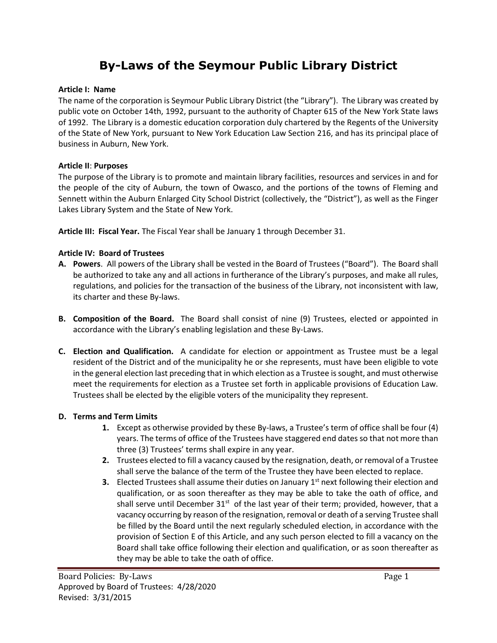# **By-Laws of the Seymour Public Library District**

### **Article I: Name**

The name of the corporation is Seymour Public Library District (the "Library"). The Library was created by public vote on October 14th, 1992, pursuant to the authority of Chapter 615 of the New York State laws of 1992. The Library is a domestic education corporation duly chartered by the Regents of the University of the State of New York, pursuant to New York Education Law Section 216, and has its principal place of business in Auburn, New York.

### **Article II**: **Purposes**

The purpose of the Library is to promote and maintain library facilities, resources and services in and for the people of the city of Auburn, the town of Owasco, and the portions of the towns of Fleming and Sennett within the Auburn Enlarged City School District (collectively, the "District"), as well as the Finger Lakes Library System and the State of New York.

**Article III: Fiscal Year.** The Fiscal Year shall be January 1 through December 31.

### **Article IV: Board of Trustees**

- **A. Powers**. All powers of the Library shall be vested in the Board of Trustees ("Board"). The Board shall be authorized to take any and all actions in furtherance of the Library's purposes, and make all rules, regulations, and policies for the transaction of the business of the Library, not inconsistent with law, its charter and these By-laws.
- **B. Composition of the Board.** The Board shall consist of nine (9) Trustees, elected or appointed in accordance with the Library's enabling legislation and these By-Laws.
- **C. Election and Qualification.** A candidate for election or appointment as Trustee must be a legal resident of the District and of the municipality he or she represents, must have been eligible to vote in the general election last preceding that in which election as a Trustee is sought, and must otherwise meet the requirements for election as a Trustee set forth in applicable provisions of Education Law. Trustees shall be elected by the eligible voters of the municipality they represent.

### **D. Terms and Term Limits**

- **1.** Except as otherwise provided by these By-laws, a Trustee's term of office shall be four (4) years. The terms of office of the Trustees have staggered end dates so that not more than three (3) Trustees' terms shall expire in any year.
- **2.** Trustees elected to fill a vacancy caused by the resignation, death, or removal of a Trustee shall serve the balance of the term of the Trustee they have been elected to replace.
- **3.** Elected Trustees shall assume their duties on January 1<sup>st</sup> next following their election and qualification, or as soon thereafter as they may be able to take the oath of office, and shall serve until December 31<sup>st</sup> of the last year of their term; provided, however, that a vacancy occurring by reason of the resignation, removal or death of a serving Trustee shall be filled by the Board until the next regularly scheduled election, in accordance with the provision of Section E of this Article, and any such person elected to fill a vacancy on the Board shall take office following their election and qualification, or as soon thereafter as they may be able to take the oath of office.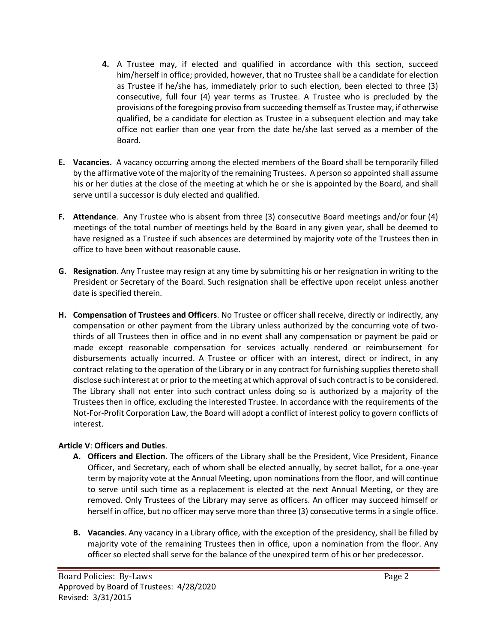- **4.** A Trustee may, if elected and qualified in accordance with this section, succeed him/herself in office; provided, however, that no Trustee shall be a candidate for election as Trustee if he/she has, immediately prior to such election, been elected to three (3) consecutive, full four (4) year terms as Trustee. A Trustee who is precluded by the provisions of the foregoing proviso from succeeding themself as Trustee may, if otherwise qualified, be a candidate for election as Trustee in a subsequent election and may take office not earlier than one year from the date he/she last served as a member of the Board.
- **E. Vacancies.** A vacancy occurring among the elected members of the Board shall be temporarily filled by the affirmative vote of the majority of the remaining Trustees. A person so appointed shall assume his or her duties at the close of the meeting at which he or she is appointed by the Board, and shall serve until a successor is duly elected and qualified.
- **F. Attendance**. Any Trustee who is absent from three (3) consecutive Board meetings and/or four (4) meetings of the total number of meetings held by the Board in any given year, shall be deemed to have resigned as a Trustee if such absences are determined by majority vote of the Trustees then in office to have been without reasonable cause.
- **G. Resignation**. Any Trustee may resign at any time by submitting his or her resignation in writing to the President or Secretary of the Board. Such resignation shall be effective upon receipt unless another date is specified therein.
- **H. Compensation of Trustees and Officers**. No Trustee or officer shall receive, directly or indirectly, any compensation or other payment from the Library unless authorized by the concurring vote of twothirds of all Trustees then in office and in no event shall any compensation or payment be paid or made except reasonable compensation for services actually rendered or reimbursement for disbursements actually incurred. A Trustee or officer with an interest, direct or indirect, in any contract relating to the operation of the Library or in any contract for furnishing supplies thereto shall disclose such interest at or prior to the meeting at which approval of such contract is to be considered. The Library shall not enter into such contract unless doing so is authorized by a majority of the Trustees then in office, excluding the interested Trustee. In accordance with the requirements of the Not-For-Profit Corporation Law, the Board will adopt a conflict of interest policy to govern conflicts of interest.

### **Article V**: **Officers and Duties**.

- **A. Officers and Election**. The officers of the Library shall be the President, Vice President, Finance Officer, and Secretary, each of whom shall be elected annually, by secret ballot, for a one-year term by majority vote at the Annual Meeting, upon nominations from the floor, and will continue to serve until such time as a replacement is elected at the next Annual Meeting, or they are removed. Only Trustees of the Library may serve as officers. An officer may succeed himself or herself in office, but no officer may serve more than three (3) consecutive terms in a single office.
- **B. Vacancies**. Any vacancy in a Library office, with the exception of the presidency, shall be filled by majority vote of the remaining Trustees then in office, upon a nomination from the floor. Any officer so elected shall serve for the balance of the unexpired term of his or her predecessor.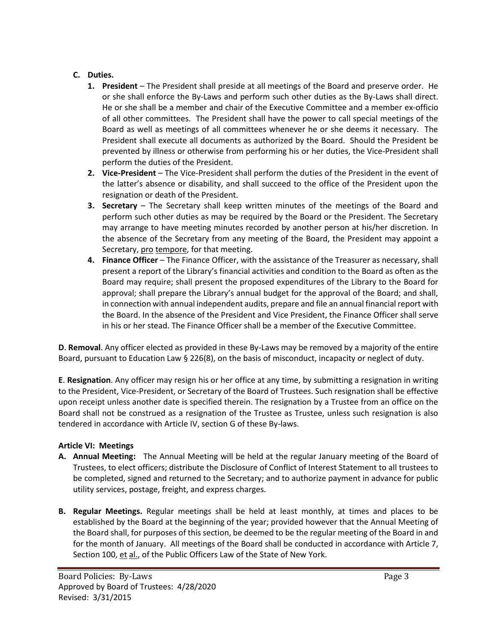## **C. Duties.**

- **1. President**  The President shall preside at all meetings of the Board and preserve order. He or she shall enforce the By-Laws and perform such other duties as the By-Laws shall direct. He or she shall be a member and chair of the Executive Committee and a member ex-officio of all other committees. The President shall have the power to call special meetings of the Board as well as meetings of all committees whenever he or she deems it necessary. The President shall execute all documents as authorized by the Board. Should the President be prevented by illness or otherwise from performing his or her duties, the Vice-President shall perform the duties of the President.
- **2. Vice-President**  The Vice-President shall perform the duties of the President in the event of the latter's absence or disability, and shall succeed to the office of the President upon the resignation or death of the President.
- **3. Secretary** The Secretary shall keep written minutes of the meetings of the Board and perform such other duties as may be required by the Board or the President. The Secretary may arrange to have meeting minutes recorded by another person at his/her discretion. In the absence of the Secretary from any meeting of the Board, the President may appoint a Secretary, pro tempore, for that meeting.
- **4. Finance Officer** The Finance Officer, with the assistance of the Treasurer as necessary, shall present a report of the Library's financial activities and condition to the Board as often as the Board may require; shall present the proposed expenditures of the Library to the Board for approval; shall prepare the Library's annual budget for the approval of the Board; and shall, in connection with annual independent audits, prepare and file an annual financial report with the Board. In the absence of the President and Vice President, the Finance Officer shall serve in his or her stead. The Finance Officer shall be a member of the Executive Committee.

**D**. **Removal**. Any officer elected as provided in these By-Laws may be removed by a majority of the entire Board, pursuant to Education Law § 226(8), on the basis of misconduct, incapacity or neglect of duty.

**E**. **Resignation**. Any officer may resign his or her office at any time, by submitting a resignation in writing to the President, Vice-President, or Secretary of the Board of Trustees. Such resignation shall be effective upon receipt unless another date is specified therein. The resignation by a Trustee from an office on the Board shall not be construed as a resignation of the Trustee as Trustee, unless such resignation is also tendered in accordance with Article IV, section G of these By-laws.

### **Article VI: Meetings**

- **A. Annual Meeting:** The Annual Meeting will be held at the regular January meeting of the Board of Trustees, to elect officers; distribute the Disclosure of Conflict of Interest Statement to all trustees to be completed, signed and returned to the Secretary; and to authorize payment in advance for public utility services, postage, freight, and express charges.
- **B. Regular Meetings.** Regular meetings shall be held at least monthly, at times and places to be established by the Board at the beginning of the year; provided however that the Annual Meeting of the Board shall, for purposes of this section, be deemed to be the regular meeting of the Board in and for the month of January. All meetings of the Board shall be conducted in accordance with Article 7, Section 100, et al., of the Public Officers Law of the State of New York.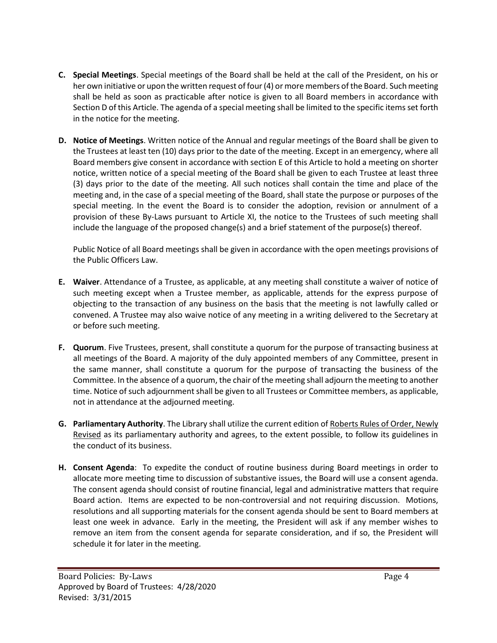- **C. Special Meetings**. Special meetings of the Board shall be held at the call of the President, on his or her own initiative or upon the written request of four (4) or more members of the Board. Such meeting shall be held as soon as practicable after notice is given to all Board members in accordance with Section D of this Article. The agenda of a special meeting shall be limited to the specific items set forth in the notice for the meeting.
- **D. Notice of Meetings**. Written notice of the Annual and regular meetings of the Board shall be given to the Trustees at least ten (10) days prior to the date of the meeting. Except in an emergency, where all Board members give consent in accordance with section E of this Article to hold a meeting on shorter notice, written notice of a special meeting of the Board shall be given to each Trustee at least three (3) days prior to the date of the meeting. All such notices shall contain the time and place of the meeting and, in the case of a special meeting of the Board, shall state the purpose or purposes of the special meeting. In the event the Board is to consider the adoption, revision or annulment of a provision of these By-Laws pursuant to Article XI, the notice to the Trustees of such meeting shall include the language of the proposed change(s) and a brief statement of the purpose(s) thereof.

Public Notice of all Board meetings shall be given in accordance with the open meetings provisions of the Public Officers Law.

- **E. Waiver**. Attendance of a Trustee, as applicable, at any meeting shall constitute a waiver of notice of such meeting except when a Trustee member, as applicable, attends for the express purpose of objecting to the transaction of any business on the basis that the meeting is not lawfully called or convened. A Trustee may also waive notice of any meeting in a writing delivered to the Secretary at or before such meeting.
- **F. Quorum**. Five Trustees, present, shall constitute a quorum for the purpose of transacting business at all meetings of the Board. A majority of the duly appointed members of any Committee, present in the same manner, shall constitute a quorum for the purpose of transacting the business of the Committee. In the absence of a quorum, the chair of the meeting shall adjourn the meeting to another time. Notice of such adjournment shall be given to all Trustees or Committee members, as applicable, not in attendance at the adjourned meeting.
- **G. Parliamentary Authority**. The Library shall utilize the current edition of Roberts Rules of Order, Newly Revised as its parliamentary authority and agrees, to the extent possible, to follow its guidelines in the conduct of its business.
- **H. Consent Agenda**: To expedite the conduct of routine business during Board meetings in order to allocate more meeting time to discussion of substantive issues, the Board will use a consent agenda. The consent agenda should consist of routine financial, legal and administrative matters that require Board action. Items are expected to be non-controversial and not requiring discussion. Motions, resolutions and all supporting materials for the consent agenda should be sent to Board members at least one week in advance. Early in the meeting, the President will ask if any member wishes to remove an item from the consent agenda for separate consideration, and if so, the President will schedule it for later in the meeting.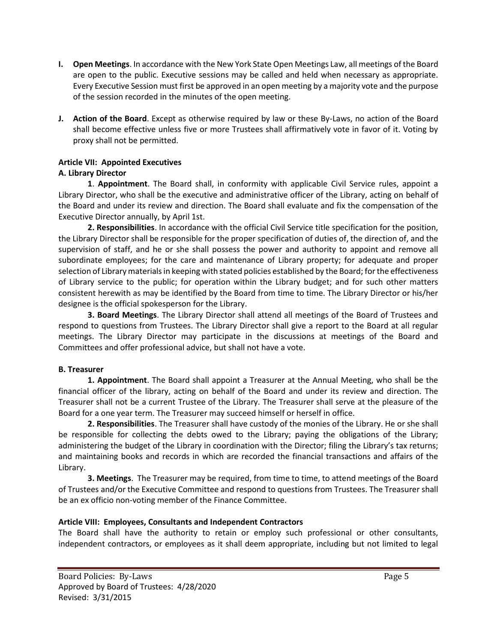- **I. Open Meetings**. In accordance with the New York State Open Meetings Law, all meetings of the Board are open to the public. Executive sessions may be called and held when necessary as appropriate. Every Executive Session must first be approved in an open meeting by a majority vote and the purpose of the session recorded in the minutes of the open meeting.
- **J. Action of the Board**. Except as otherwise required by law or these By-Laws, no action of the Board shall become effective unless five or more Trustees shall affirmatively vote in favor of it. Voting by proxy shall not be permitted.

# **Article VII: Appointed Executives**

# **A. Library Director**

**1**. **Appointment**. The Board shall, in conformity with applicable Civil Service rules, appoint a Library Director, who shall be the executive and administrative officer of the Library, acting on behalf of the Board and under its review and direction. The Board shall evaluate and fix the compensation of the Executive Director annually, by April 1st.

**2. Responsibilities**. In accordance with the official Civil Service title specification for the position, the Library Director shall be responsible for the proper specification of duties of, the direction of, and the supervision of staff, and he or she shall possess the power and authority to appoint and remove all subordinate employees; for the care and maintenance of Library property; for adequate and proper selection of Library materials in keeping with stated policies established by the Board; for the effectiveness of Library service to the public; for operation within the Library budget; and for such other matters consistent herewith as may be identified by the Board from time to time. The Library Director or his/her designee is the official spokesperson for the Library.

**3. Board Meetings**. The Library Director shall attend all meetings of the Board of Trustees and respond to questions from Trustees. The Library Director shall give a report to the Board at all regular meetings. The Library Director may participate in the discussions at meetings of the Board and Committees and offer professional advice, but shall not have a vote.

### **B. Treasurer**

**1. Appointment**. The Board shall appoint a Treasurer at the Annual Meeting, who shall be the financial officer of the library, acting on behalf of the Board and under its review and direction. The Treasurer shall not be a current Trustee of the Library. The Treasurer shall serve at the pleasure of the Board for a one year term. The Treasurer may succeed himself or herself in office.

**2. Responsibilities**. The Treasurer shall have custody of the monies of the Library. He or she shall be responsible for collecting the debts owed to the Library; paying the obligations of the Library; administering the budget of the Library in coordination with the Director; filing the Library's tax returns; and maintaining books and records in which are recorded the financial transactions and affairs of the Library.

**3. Meetings**. The Treasurer may be required, from time to time, to attend meetings of the Board of Trustees and/or the Executive Committee and respond to questions from Trustees. The Treasurer shall be an ex officio non-voting member of the Finance Committee.

# **Article VIII: Employees, Consultants and Independent Contractors**

The Board shall have the authority to retain or employ such professional or other consultants, independent contractors, or employees as it shall deem appropriate, including but not limited to legal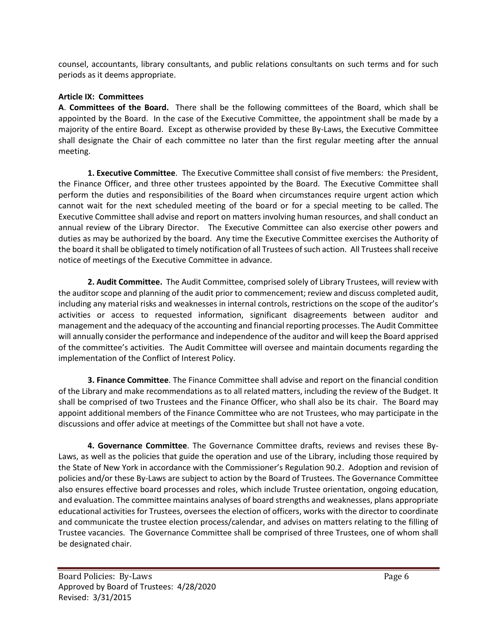counsel, accountants, library consultants, and public relations consultants on such terms and for such periods as it deems appropriate.

#### **Article IX: Committees**

**A**. **Committees of the Board.** There shall be the following committees of the Board, which shall be appointed by the Board. In the case of the Executive Committee, the appointment shall be made by a majority of the entire Board. Except as otherwise provided by these By-Laws, the Executive Committee shall designate the Chair of each committee no later than the first regular meeting after the annual meeting.

**1. Executive Committee**. The Executive Committee shall consist of five members: the President, the Finance Officer, and three other trustees appointed by the Board. The Executive Committee shall perform the duties and responsibilities of the Board when circumstances require urgent action which cannot wait for the next scheduled meeting of the board or for a special meeting to be called. The Executive Committee shall advise and report on matters involving human resources, and shall conduct an annual review of the Library Director. The Executive Committee can also exercise other powers and duties as may be authorized by the board. Any time the Executive Committee exercises the Authority of the board it shall be obligated to timely notification of all Trustees of such action. All Trustees shall receive notice of meetings of the Executive Committee in advance.

**2. Audit Committee.** The Audit Committee, comprised solely of Library Trustees, will review with the auditor scope and planning of the audit prior to commencement; review and discuss completed audit, including any material risks and weaknesses in internal controls, restrictions on the scope of the auditor's activities or access to requested information, significant disagreements between auditor and management and the adequacy of the accounting and financial reporting processes. The Audit Committee will annually consider the performance and independence of the auditor and will keep the Board apprised of the committee's activities. The Audit Committee will oversee and maintain documents regarding the implementation of the Conflict of Interest Policy.

**3. Finance Committee**. The Finance Committee shall advise and report on the financial condition of the Library and make recommendations as to all related matters, including the review of the Budget. It shall be comprised of two Trustees and the Finance Officer, who shall also be its chair. The Board may appoint additional members of the Finance Committee who are not Trustees, who may participate in the discussions and offer advice at meetings of the Committee but shall not have a vote.

**4. Governance Committee**. The Governance Committee drafts, reviews and revises these By-Laws, as well as the policies that guide the operation and use of the Library, including those required by the State of New York in accordance with the Commissioner's Regulation 90.2. Adoption and revision of policies and/or these By-Laws are subject to action by the Board of Trustees. The Governance Committee also ensures effective board processes and roles, which include Trustee orientation, ongoing education, and evaluation. The committee maintains analyses of board strengths and weaknesses, plans appropriate educational activities for Trustees, oversees the election of officers, works with the director to coordinate and communicate the trustee election process/calendar, and advises on matters relating to the filling of Trustee vacancies. The Governance Committee shall be comprised of three Trustees, one of whom shall be designated chair.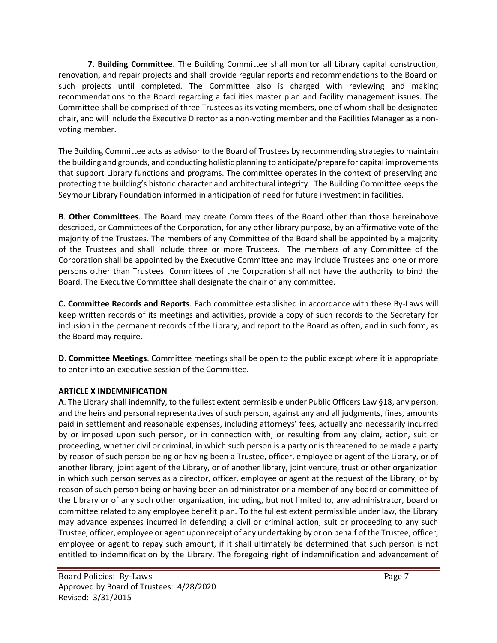**7. Building Committee**. The Building Committee shall monitor all Library capital construction, renovation, and repair projects and shall provide regular reports and recommendations to the Board on such projects until completed. The Committee also is charged with reviewing and making recommendations to the Board regarding a facilities master plan and facility management issues. The Committee shall be comprised of three Trustees as its voting members, one of whom shall be designated chair, and will include the Executive Director as a non-voting member and the Facilities Manager as a nonvoting member.

The Building Committee acts as advisor to the Board of Trustees by recommending strategies to maintain the building and grounds, and conducting holistic planning to anticipate/prepare for capital improvements that support Library functions and programs. The committee operates in the context of preserving and protecting the building's historic character and architectural integrity. The Building Committee keeps the Seymour Library Foundation informed in anticipation of need for future investment in facilities.

**B**. **Other Committees**. The Board may create Committees of the Board other than those hereinabove described, or Committees of the Corporation, for any other library purpose, by an affirmative vote of the majority of the Trustees. The members of any Committee of the Board shall be appointed by a majority of the Trustees and shall include three or more Trustees. The members of any Committee of the Corporation shall be appointed by the Executive Committee and may include Trustees and one or more persons other than Trustees. Committees of the Corporation shall not have the authority to bind the Board. The Executive Committee shall designate the chair of any committee.

**C. Committee Records and Reports**. Each committee established in accordance with these By-Laws will keep written records of its meetings and activities, provide a copy of such records to the Secretary for inclusion in the permanent records of the Library, and report to the Board as often, and in such form, as the Board may require.

**D**. **Committee Meetings**. Committee meetings shall be open to the public except where it is appropriate to enter into an executive session of the Committee.

### **ARTICLE X INDEMNIFICATION**

**A**. The Library shall indemnify, to the fullest extent permissible under Public Officers Law §18, any person, and the heirs and personal representatives of such person, against any and all judgments, fines, amounts paid in settlement and reasonable expenses, including attorneys' fees, actually and necessarily incurred by or imposed upon such person, or in connection with, or resulting from any claim, action, suit or proceeding, whether civil or criminal, in which such person is a party or is threatened to be made a party by reason of such person being or having been a Trustee, officer, employee or agent of the Library, or of another library, joint agent of the Library, or of another library, joint venture, trust or other organization in which such person serves as a director, officer, employee or agent at the request of the Library, or by reason of such person being or having been an administrator or a member of any board or committee of the Library or of any such other organization, including, but not limited to, any administrator, board or committee related to any employee benefit plan. To the fullest extent permissible under law, the Library may advance expenses incurred in defending a civil or criminal action, suit or proceeding to any such Trustee, officer, employee or agent upon receipt of any undertaking by or on behalf of the Trustee, officer, employee or agent to repay such amount, if it shall ultimately be determined that such person is not entitled to indemnification by the Library. The foregoing right of indemnification and advancement of